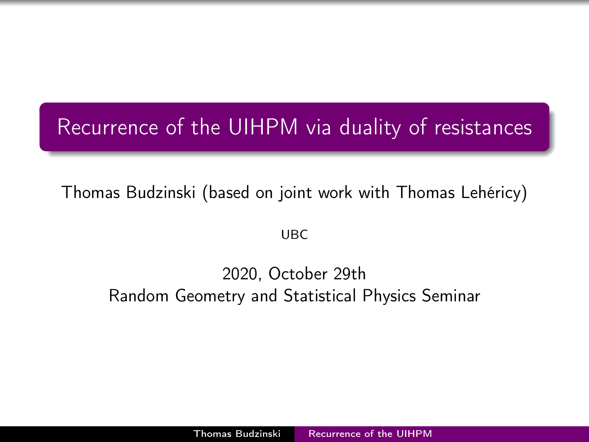## <span id="page-0-0"></span>Recurrence of the UIHPM via duality of resistances

Thomas Budzinski (based on joint work with Thomas Lehéricy)

UBC

#### 2020, October 29th Random Geometry and Statistical Physics Seminar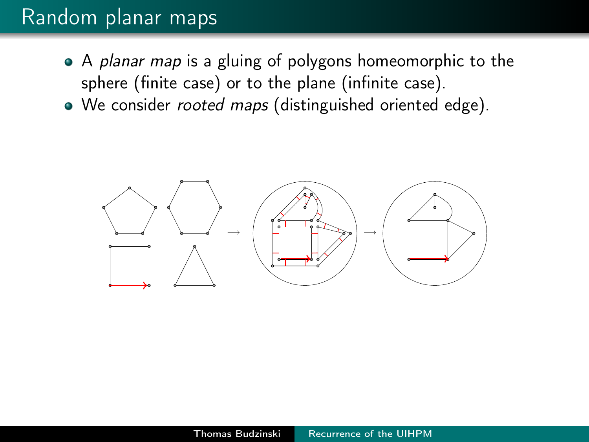#### Random planar maps

- A planar map is a gluing of polygons homeomorphic to the sphere (finite case) or to the plane (infinite case).
- We consider rooted maps (distinguished oriented edge).

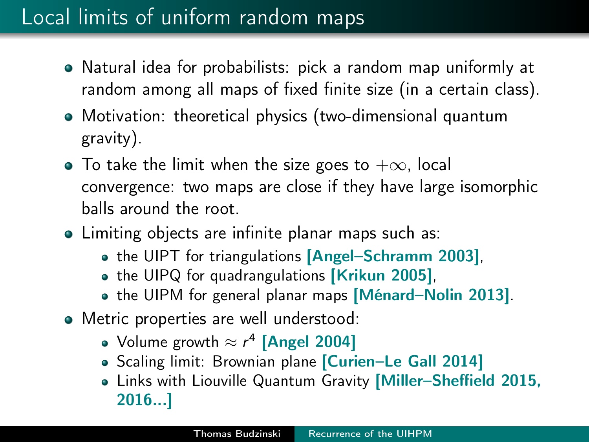## Local limits of uniform random maps

- Natural idea for probabilists: pick a random map uniformly at random among all maps of fixed finite size (in a certain class).
- Motivation: theoretical physics (two-dimensional quantum gravity).
- $\bullet$  To take the limit when the size goes to  $+\infty$ , local convergence: two maps are close if they have large isomorphic balls around the root.
- Limiting objects are infinite planar maps such as:
	- the UIPT for triangulations [Angel-Schramm 2003],
	- the UIPQ for quadrangulations [Krikun 2005],
	- the UIPM for general planar maps [Ménard–Nolin 2013].
- Metric properties are well understood:
	- Volume growth  $\approx r^4$  [Angel 2004]
	- **•** Scaling limit: Brownian plane *[Curien*–Le Gall 2014]
	- Links with Liouville Quantum Gravity [Miller–Sheffield 2015, 2016...]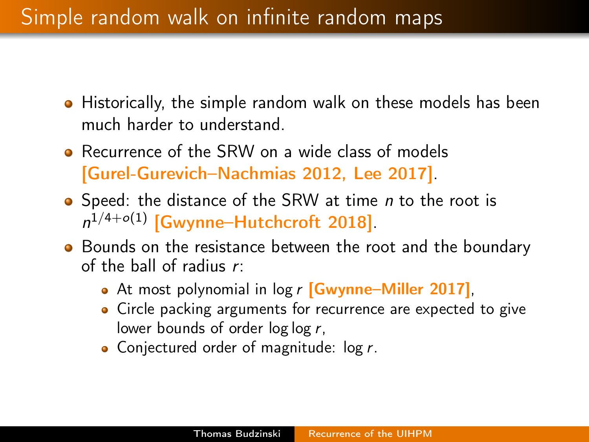## Simple random walk on infinite random maps

- Historically, the simple random walk on these models has been much harder to understand.
- **•** Recurrence of the SRW on a wide class of models [Gurel-Gurevich–Nachmias 2012, Lee 2017].
- Speed: the distance of the SRW at time *n* to the root is  $n^{1/4+o(1)}$  [Gwynne–Hutchcroft 2018].
- Bounds on the resistance between the root and the boundary of the ball of radius r:
	- At most polynomial in log r **[Gwynne–Miller 2017**],
	- Circle packing arguments for recurrence are expected to give lower bounds of order log log r,
	- Conjectured order of magnitude:  $log r$ .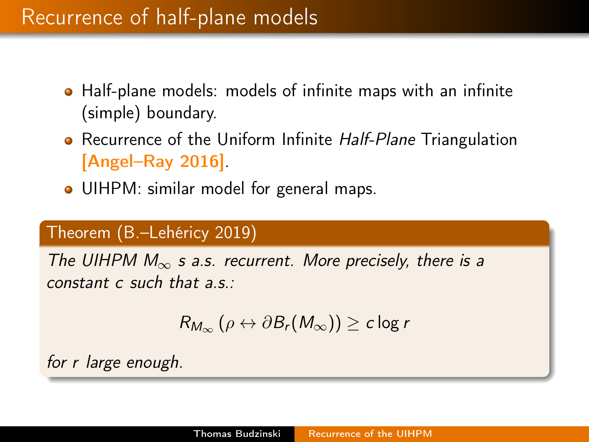#### Recurrence of half-plane models

- Half-plane models: models of infinite maps with an infinite (simple) boundary.
- Recurrence of the Uniform Infinite Half-Plane Triangulation [Angel–Ray 2016].
- UIHPM: similar model for general maps.

#### Theorem (B.–Lehéricy 2019)

The UIHPM  $M_{\infty}$  s a.s. recurrent. More precisely, there is a constant c such that a.s.:

$$
R_{M_{\infty}}\left(\rho\leftrightarrow\partial B_r(M_{\infty})\right)\geq c\log r
$$

for r large enough.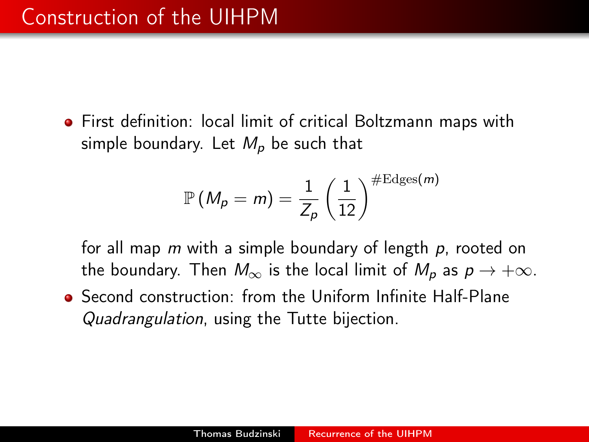First definition: local limit of critical Boltzmann maps with simple boundary. Let  $M_p$  be such that

$$
\mathbb{P}\left(M_{p}=m\right)=\frac{1}{Z_{p}}\left(\frac{1}{12}\right)^{\# \text{Edges}(m)}
$$

for all map m with a simple boundary of length p, rooted on the boundary. Then  $M_{\infty}$  is the local limit of  $M_{p}$  as  $p \rightarrow +\infty$ .

Second construction: from the Uniform Infinite Half-Plane Quadrangulation, using the Tutte bijection.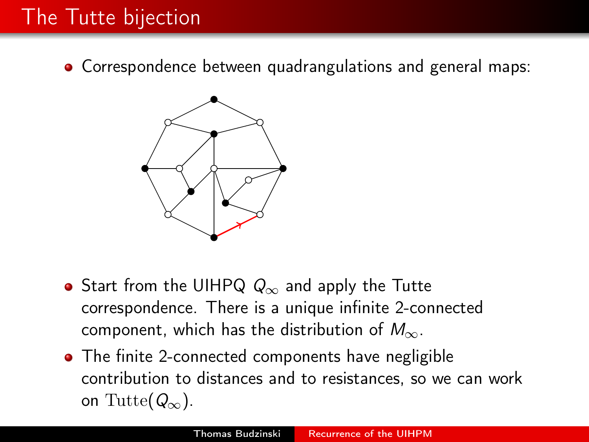## The Tutte bijection

Correspondence between quadrangulations and general maps:



- Start from the UIHPQ  $Q_{\infty}$  and apply the Tutte correspondence. There is a unique infinite 2-connected component, which has the distribution of  $M_{\infty}$ .
- The finite 2-connected components have negligible contribution to distances and to resistances, so we can work on Tutte( $Q_{\infty}$ ).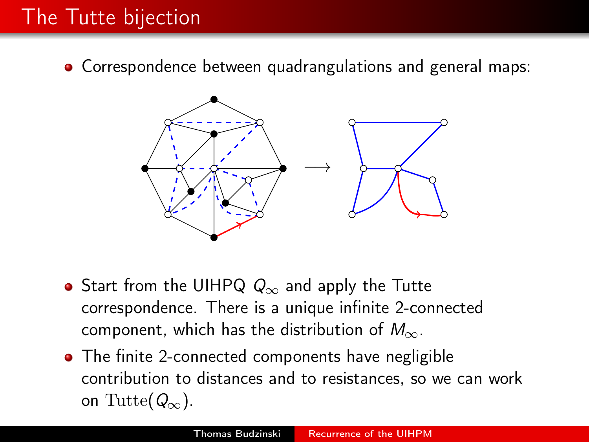## The Tutte bijection

Correspondence between quadrangulations and general maps:



- Start from the UIHPQ  $Q_{\infty}$  and apply the Tutte correspondence. There is a unique infinite 2-connected component, which has the distribution of  $M_{\infty}$ .
- The finite 2-connected components have negligible contribution to distances and to resistances, so we can work on Tutte( $Q_{\infty}$ ).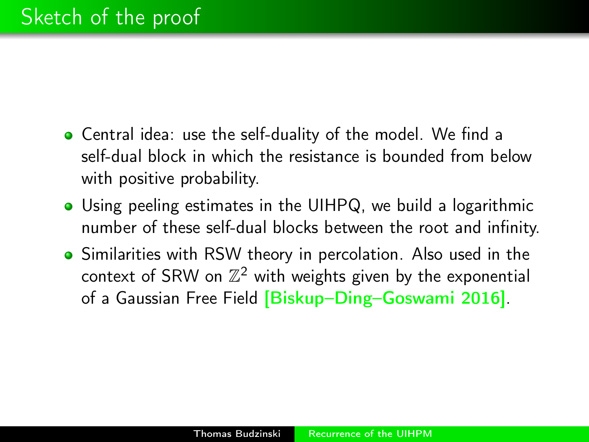- Central idea: use the self-duality of the model. We find a self-dual block in which the resistance is bounded from below with positive probability.
- Using peeling estimates in the UIHPQ, we build a logarithmic number of these self-dual blocks between the root and infinity.
- Similarities with RSW theory in percolation. Also used in the context of SRW on  $\mathbb{Z}^2$  with weights given by the exponential of a Gaussian Free Field [Biskup–Ding–Goswami 2016].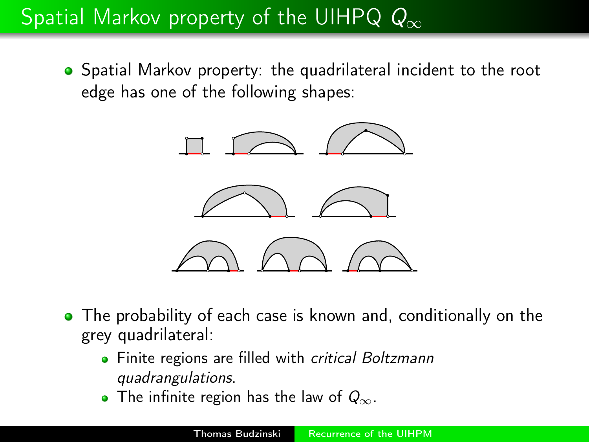# Spatial Markov property of the UIHPQ  $Q_{\infty}$

Spatial Markov property: the quadrilateral incident to the root edge has one of the following shapes:



- The probability of each case is known and, conditionally on the grey quadrilateral:
	- Finite regions are filled with critical Boltzmann quadrangulations.
	- $\bullet$  The infinite region has the law of  $Q_{\infty}$ .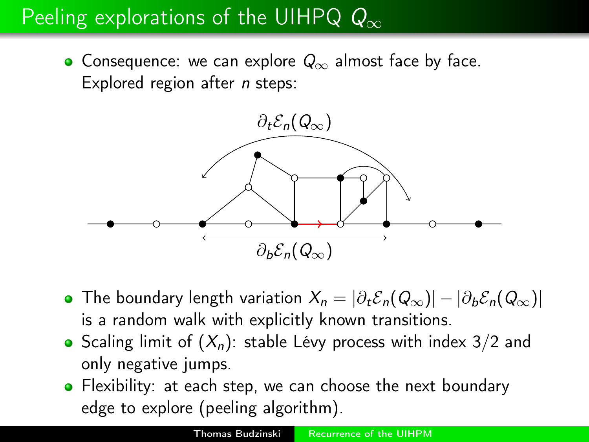# Peeling explorations of the UIHPQ  $Q_{\infty}$

• Consequence: we can explore  $Q_{\infty}$  almost face by face. Explored region after *n* steps:



- The boundary length variation  $X_n = |\partial_t \mathcal{E}_n(Q_\infty)| |\partial_b \mathcal{E}_n(Q_\infty)|$ is a random walk with explicitly known transitions.
- Scaling limit of  $(X_n)$ : stable Lévy process with index 3/2 and only negative jumps.
- Flexibility: at each step, we can choose the next boundary edge to explore (peeling algorithm).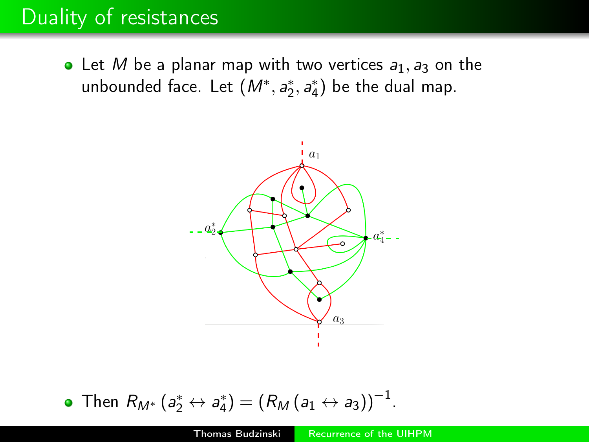#### Duality of resistances

• Let M be a planar map with two vertices  $a_1, a_3$  on the unbounded face. Let  $(M^*, a_2^*, a_4^*)$  be the dual map.



• Then 
$$
R_{M^*}(a_2^* \leftrightarrow a_4^*) = (R_M(a_1 \leftrightarrow a_3))^{-1}
$$
.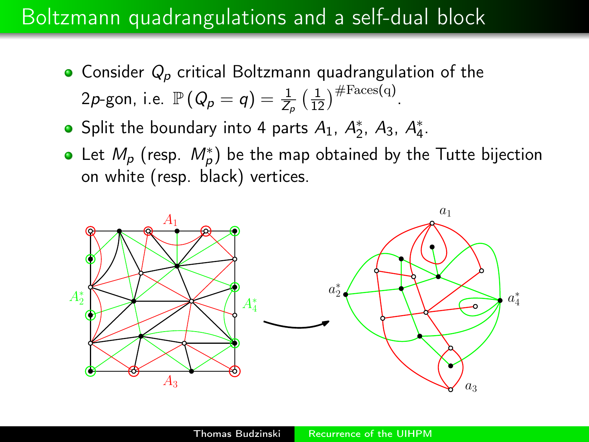#### Boltzmann quadrangulations and a self-dual block

- Consider  $Q_p$  critical Boltzmann quadrangulation of the 2p-gon, i.e.  $\mathbb{P}\left(Q_p = q\right) = \frac{1}{Z_p} \left(\frac{1}{12}\right)^{\#\text{Faces}(q)}$ .
- Split the boundary into 4 parts  $A_1$ ,  $A_2^*$ ,  $A_3$ ,  $A_4^*$ .
- Let  $M_p$  (resp.  $M_p^*$ ) be the map obtained by the Tutte bijection on white (resp. black) vertices.

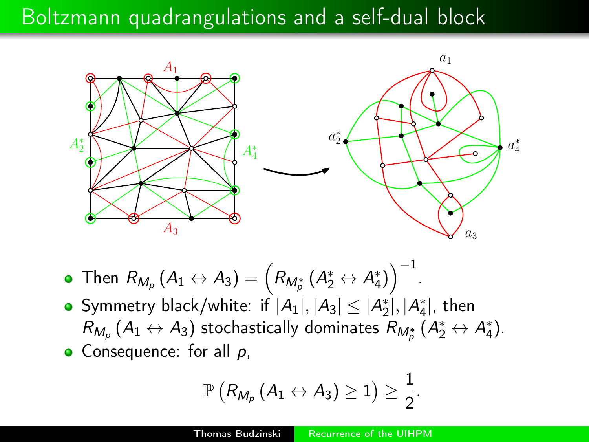#### Boltzmann quadrangulations and a self-dual block



- Then  $R_{M_p}\left(A_1\leftrightarrow A_3\right)=\left(R_{M_p^*}\left(A_2^*\leftrightarrow A_4^*\right)\right)^{-1}$ .
- Symmetry black/white: if  $|A_1|, |A_3| \leq |A_2^*|, |A_4^*|$ , then  $R_{M_p}\left(A_1 \leftrightarrow A_3\right)$  stochastically dominates  $R_{M_p^*}\left(A_2^* \leftrightarrow A_4^*\right)$ .  $\bullet$  Consequence: for all  $p$ ,

$$
\mathbb{P}\left(R_{M_p}\left(A_1\leftrightarrow A_3\right)\geq 1\right)\geq \frac{1}{2}.
$$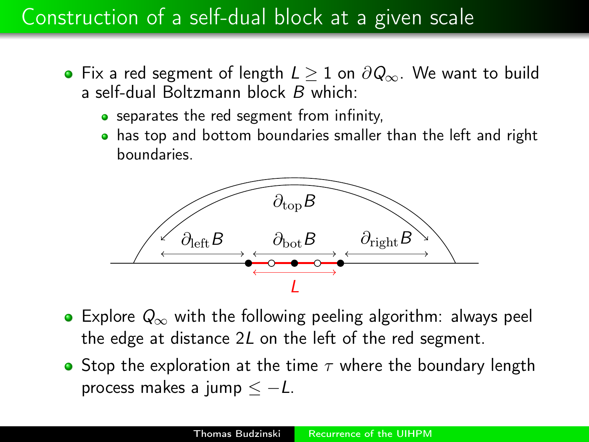- Fix a red segment of length  $L \geq 1$  on  $\partial Q_{\infty}$ . We want to build a self-dual Boltzmann block B which:
	- **•** separates the red segment from infinity,
	- has top and bottom boundaries smaller than the left and right boundaries.



- Explore  $Q_{\infty}$  with the following peeling algorithm: always peel the edge at distance 2L on the left of the red segment.
- **•** Stop the exploration at the time  $\tau$  where the boundary length process makes a jump  $\lt -L$ .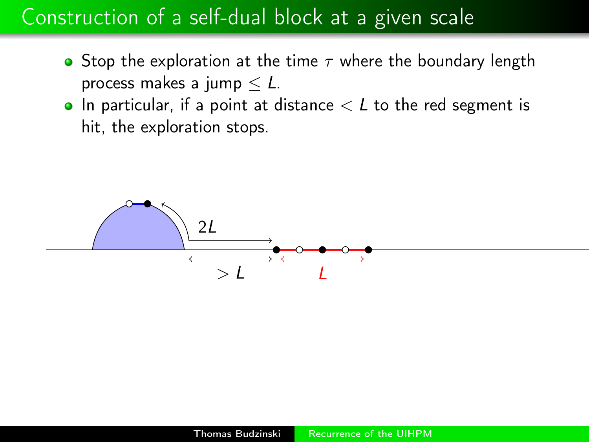- Stop the exploration at the time  $\tau$  where the boundary length process makes a jump  $\leq L$ .
- $\bullet$  In particular, if a point at distance  $\lt L$  to the red segment is hit, the exploration stops.

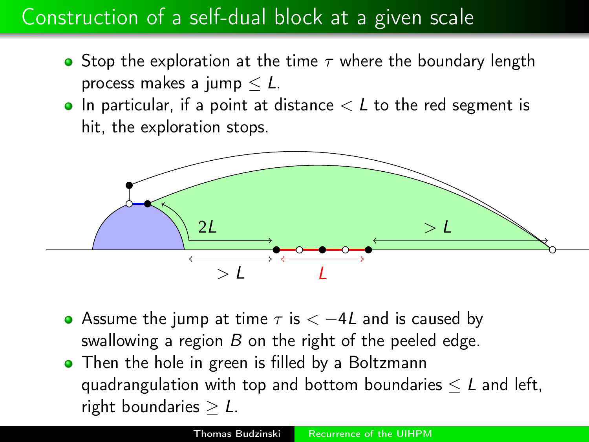- **•** Stop the exploration at the time  $\tau$  where the boundary length process makes a jump  $\leq L$ .
- $\bullet$  In particular, if a point at distance  $\lt L$  to the red segment is hit, the exploration stops.



- Assume the jump at time  $\tau$  is  $\lt -4L$  and is caused by swallowing a region  $B$  on the right of the peeled edge.
- Then the hole in green is filled by a Boltzmann quadrangulation with top and bottom boundaries  $\leq L$  and left, right boundaries  $\geq L$ .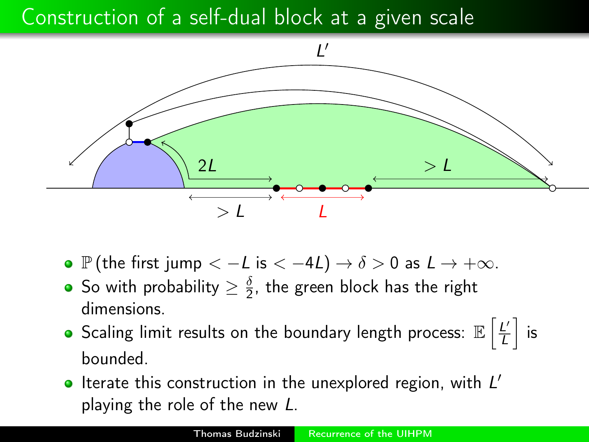

- P (the first jump  $<-L$  is  $<-4L$ )  $\rightarrow \delta > 0$  as  $L \rightarrow +\infty$ .
- So with probability  $\geq \frac{\delta}{2}$  $\frac{\delta}{2}$ , the green block has the right dimensions.
- Scaling limit results on the boundary length process:  $\mathbb{E}\left[\frac{L^2}{L}\right]$  $\frac{L'}{L}$  is bounded.
- Iterate this construction in the unexplored region, with  $L'$ playing the role of the new L.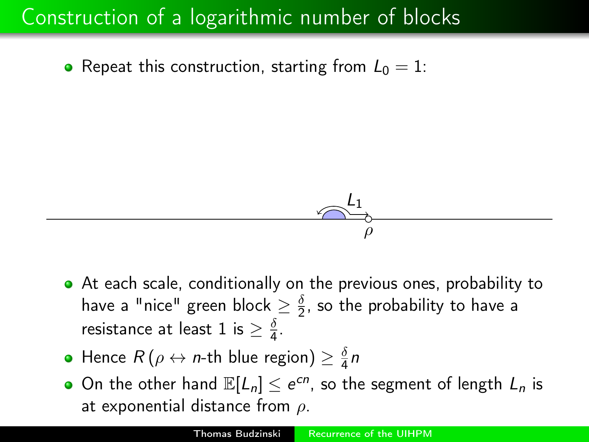$$
\overbrace{\qquad \qquad \qquad \qquad \rho}^{\mathcal{L}_1}
$$

- At each scale, conditionally on the previous ones, probability to have a "nice" green block  $\geq \frac{\delta}{2}$  $\frac{0}{2}$ , so the probability to have a resistance at least 1 is  $\geq \frac{\delta}{4}$  $\frac{0}{4}$ .
- Hence  $R\left(\rho\leftrightarrow n\text{-th blue region}\right)\geq\frac{\delta}{4}$  $rac{\delta}{4}n$
- On the other hand  $\mathbb{E}[L_n] \leq e^{cn}$ , so the segment of length  $L_n$  is at exponential distance from  $\rho$ .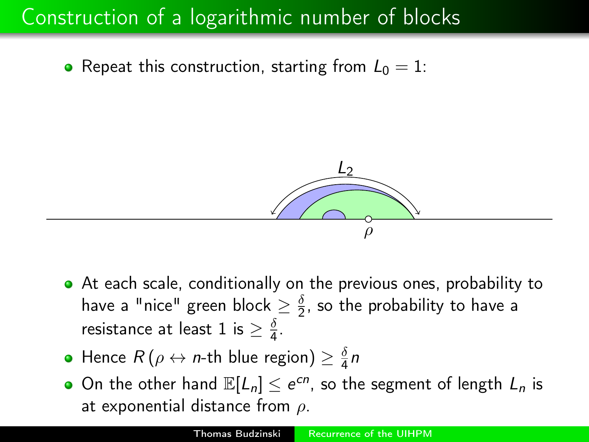

- At each scale, conditionally on the previous ones, probability to have a "nice" green block  $\geq \frac{\delta}{2}$  $\frac{0}{2}$ , so the probability to have a resistance at least 1 is  $\geq \frac{\delta}{4}$  $\frac{0}{4}$ .
- Hence  $R\left(\rho\leftrightarrow n\text{-th blue region}\right)\geq\frac{\delta}{4}$  $rac{\delta}{4}n$
- On the other hand  $\mathbb{E}[L_n] \leq e^{cn}$ , so the segment of length  $L_n$  is at exponential distance from  $\rho$ .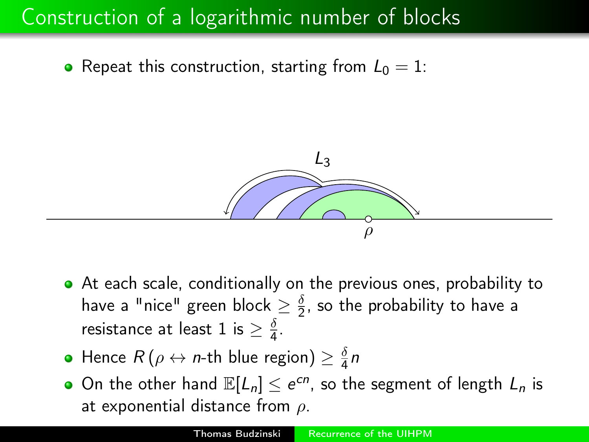

- At each scale, conditionally on the previous ones, probability to have a "nice" green block  $\geq \frac{\delta}{2}$  $\frac{0}{2}$ , so the probability to have a resistance at least 1 is  $\geq \frac{\delta}{4}$  $\frac{0}{4}$ .
- Hence  $R\left(\rho\leftrightarrow n\text{-th blue region}\right)\geq\frac{\delta}{4}$  $rac{\delta}{4}n$
- On the other hand  $\mathbb{E}[L_n] \leq e^{cn}$ , so the segment of length  $L_n$  is at exponential distance from  $\rho$ .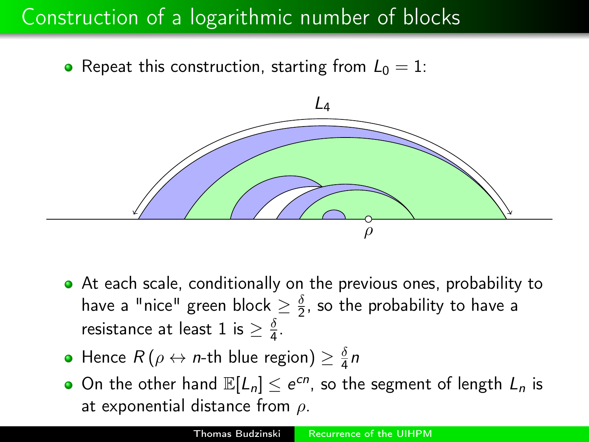

- At each scale, conditionally on the previous ones, probability to have a "nice" green block  $\geq \frac{\delta}{2}$  $\frac{0}{2}$ , so the probability to have a resistance at least 1 is  $\geq \frac{\delta}{4}$  $\frac{0}{4}$ .
- Hence  $R\left(\rho\leftrightarrow n\text{-th blue region}\right)\geq\frac{\delta}{4}$  $rac{\delta}{4}n$
- On the other hand  $\mathbb{E}[L_n] \leq e^{cn}$ , so the segment of length  $L_n$  is at exponential distance from  $\rho$ .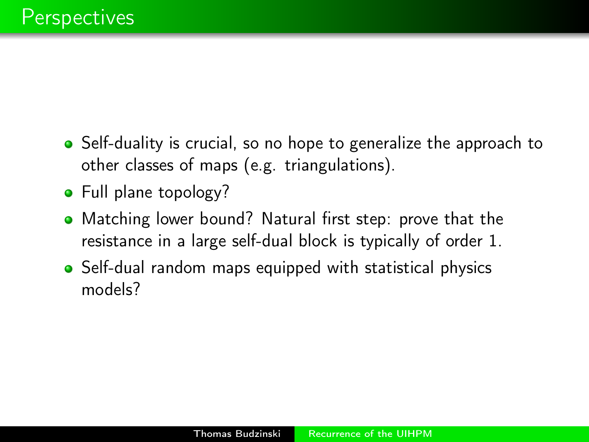- Self-duality is crucial, so no hope to generalize the approach to other classes of maps (e.g. triangulations).
- Full plane topology?
- Matching lower bound? Natural first step: prove that the resistance in a large self-dual block is typically of order 1.
- Self-dual random maps equipped with statistical physics models?